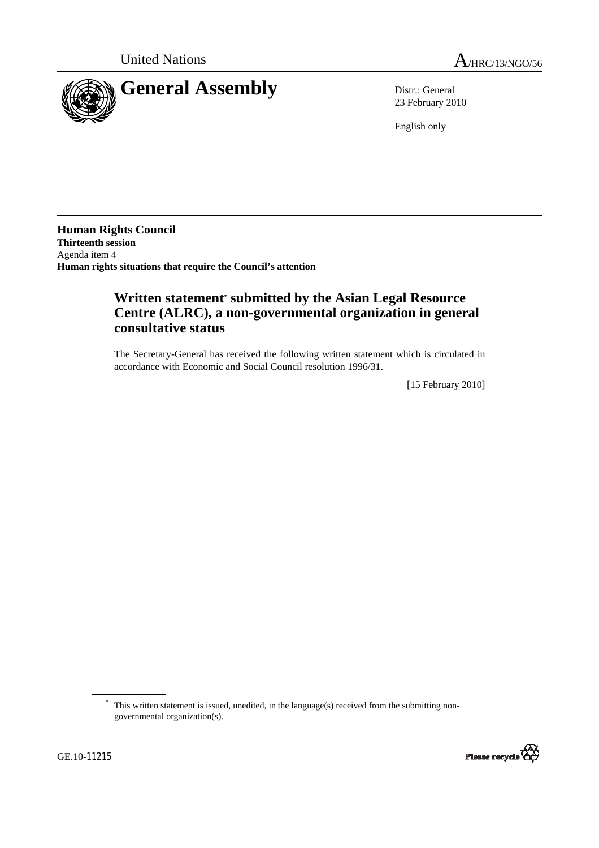



23 February 2010

English only

**Human Rights Council Thirteenth session**  Agenda item 4 **Human rights situations that require the Council's attention** 

## **Written statement\* submitted by the Asian Legal Resource Centre (ALRC), a non-governmental organization in general consultative status**

The Secretary-General has received the following written statement which is circulated in accordance with Economic and Social Council resolution 1996/31.

[15 February 2010]

<sup>\*</sup> This written statement is issued, unedited, in the language(s) received from the submitting nongovernmental organization(s).

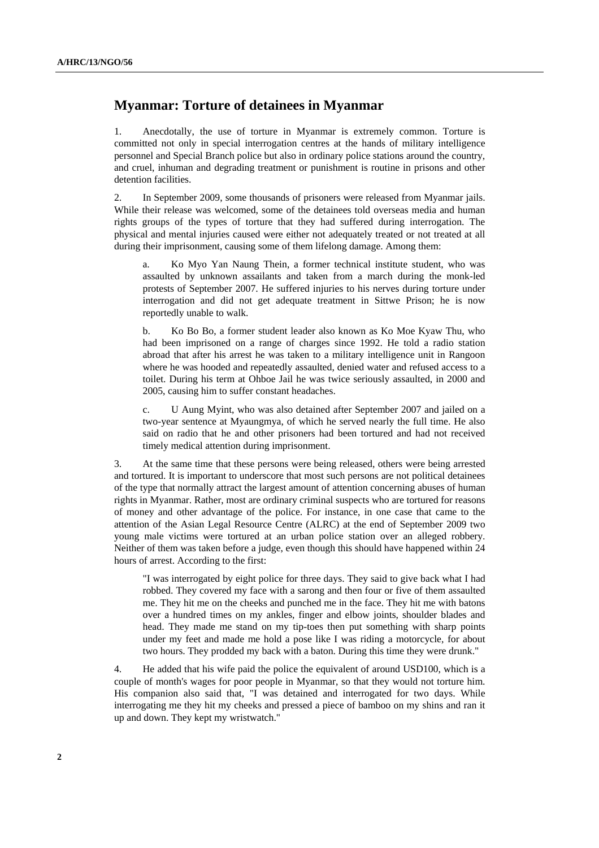## **Myanmar: Torture of detainees in Myanmar**

1. Anecdotally, the use of torture in Myanmar is extremely common. Torture is committed not only in special interrogation centres at the hands of military intelligence personnel and Special Branch police but also in ordinary police stations around the country, and cruel, inhuman and degrading treatment or punishment is routine in prisons and other detention facilities.

2. In September 2009, some thousands of prisoners were released from Myanmar jails. While their release was welcomed, some of the detainees told overseas media and human rights groups of the types of torture that they had suffered during interrogation. The physical and mental injuries caused were either not adequately treated or not treated at all during their imprisonment, causing some of them lifelong damage. Among them:

Ko Myo Yan Naung Thein, a former technical institute student, who was assaulted by unknown assailants and taken from a march during the monk-led protests of September 2007. He suffered injuries to his nerves during torture under interrogation and did not get adequate treatment in Sittwe Prison; he is now reportedly unable to walk.

b. Ko Bo Bo, a former student leader also known as Ko Moe Kyaw Thu, who had been imprisoned on a range of charges since 1992. He told a radio station abroad that after his arrest he was taken to a military intelligence unit in Rangoon where he was hooded and repeatedly assaulted, denied water and refused access to a toilet. During his term at Ohboe Jail he was twice seriously assaulted, in 2000 and 2005, causing him to suffer constant headaches.

c. U Aung Myint, who was also detained after September 2007 and jailed on a two-year sentence at Myaungmya, of which he served nearly the full time. He also said on radio that he and other prisoners had been tortured and had not received timely medical attention during imprisonment.

3. At the same time that these persons were being released, others were being arrested and tortured. It is important to underscore that most such persons are not political detainees of the type that normally attract the largest amount of attention concerning abuses of human rights in Myanmar. Rather, most are ordinary criminal suspects who are tortured for reasons of money and other advantage of the police. For instance, in one case that came to the attention of the Asian Legal Resource Centre (ALRC) at the end of September 2009 two young male victims were tortured at an urban police station over an alleged robbery. Neither of them was taken before a judge, even though this should have happened within 24 hours of arrest. According to the first:

"I was interrogated by eight police for three days. They said to give back what I had robbed. They covered my face with a sarong and then four or five of them assaulted me. They hit me on the cheeks and punched me in the face. They hit me with batons over a hundred times on my ankles, finger and elbow joints, shoulder blades and head. They made me stand on my tip-toes then put something with sharp points under my feet and made me hold a pose like I was riding a motorcycle, for about two hours. They prodded my back with a baton. During this time they were drunk."

4. He added that his wife paid the police the equivalent of around USD100, which is a couple of month's wages for poor people in Myanmar, so that they would not torture him. His companion also said that, "I was detained and interrogated for two days. While interrogating me they hit my cheeks and pressed a piece of bamboo on my shins and ran it up and down. They kept my wristwatch."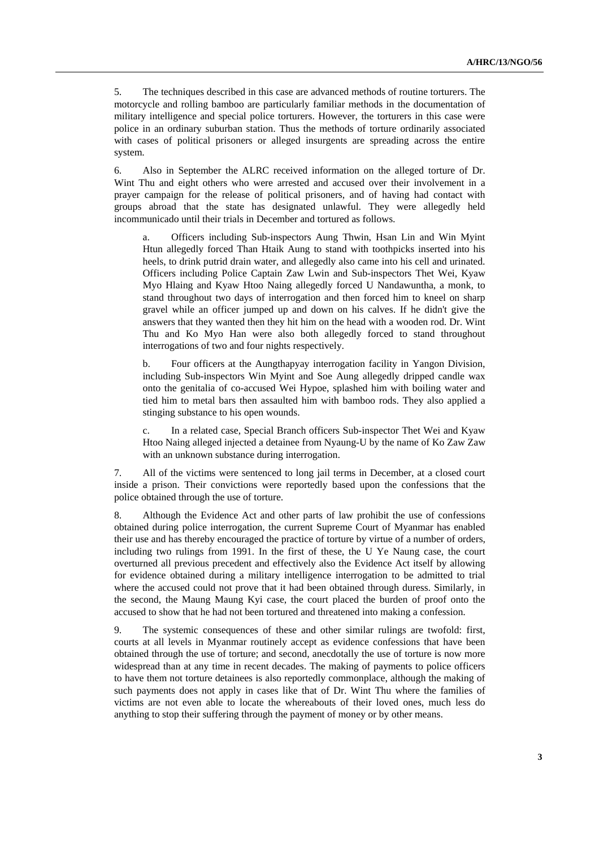5. The techniques described in this case are advanced methods of routine torturers. The motorcycle and rolling bamboo are particularly familiar methods in the documentation of military intelligence and special police torturers. However, the torturers in this case were police in an ordinary suburban station. Thus the methods of torture ordinarily associated with cases of political prisoners or alleged insurgents are spreading across the entire system.

6. Also in September the ALRC received information on the alleged torture of Dr. Wint Thu and eight others who were arrested and accused over their involvement in a prayer campaign for the release of political prisoners, and of having had contact with groups abroad that the state has designated unlawful. They were allegedly held incommunicado until their trials in December and tortured as follows.

a. Officers including Sub-inspectors Aung Thwin, Hsan Lin and Win Myint Htun allegedly forced Than Htaik Aung to stand with toothpicks inserted into his heels, to drink putrid drain water, and allegedly also came into his cell and urinated. Officers including Police Captain Zaw Lwin and Sub-inspectors Thet Wei, Kyaw Myo Hlaing and Kyaw Htoo Naing allegedly forced U Nandawuntha, a monk, to stand throughout two days of interrogation and then forced him to kneel on sharp gravel while an officer jumped up and down on his calves. If he didn't give the answers that they wanted then they hit him on the head with a wooden rod. Dr. Wint Thu and Ko Myo Han were also both allegedly forced to stand throughout interrogations of two and four nights respectively.

b. Four officers at the Aungthapyay interrogation facility in Yangon Division, including Sub-inspectors Win Myint and Soe Aung allegedly dripped candle wax onto the genitalia of co-accused Wei Hypoe, splashed him with boiling water and tied him to metal bars then assaulted him with bamboo rods. They also applied a stinging substance to his open wounds.

c. In a related case, Special Branch officers Sub-inspector Thet Wei and Kyaw Htoo Naing alleged injected a detainee from Nyaung-U by the name of Ko Zaw Zaw with an unknown substance during interrogation.

7. All of the victims were sentenced to long jail terms in December, at a closed court inside a prison. Their convictions were reportedly based upon the confessions that the police obtained through the use of torture.

8. Although the Evidence Act and other parts of law prohibit the use of confessions obtained during police interrogation, the current Supreme Court of Myanmar has enabled their use and has thereby encouraged the practice of torture by virtue of a number of orders, including two rulings from 1991. In the first of these, the U Ye Naung case, the court overturned all previous precedent and effectively also the Evidence Act itself by allowing for evidence obtained during a military intelligence interrogation to be admitted to trial where the accused could not prove that it had been obtained through duress. Similarly, in the second, the Maung Maung Kyi case, the court placed the burden of proof onto the accused to show that he had not been tortured and threatened into making a confession.

9. The systemic consequences of these and other similar rulings are twofold: first, courts at all levels in Myanmar routinely accept as evidence confessions that have been obtained through the use of torture; and second, anecdotally the use of torture is now more widespread than at any time in recent decades. The making of payments to police officers to have them not torture detainees is also reportedly commonplace, although the making of such payments does not apply in cases like that of Dr. Wint Thu where the families of victims are not even able to locate the whereabouts of their loved ones, much less do anything to stop their suffering through the payment of money or by other means.